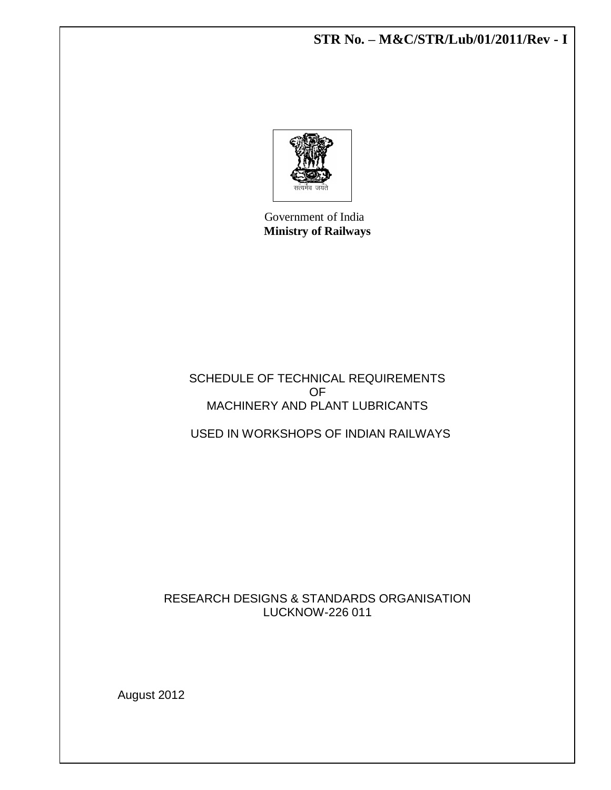**STR No. – M&C/STR/Lub/01/2011/Rev - I**



 Government of India **Ministry of Railways**

SCHEDULE OF TECHNICAL REQUIREMENTS OF MACHINERY AND PLANT LUBRICANTS

USED IN WORKSHOPS OF INDIAN RAILWAYS

RESEARCH DESIGNS & STANDARDS ORGANISATION LUCKNOW-226 011

August 2012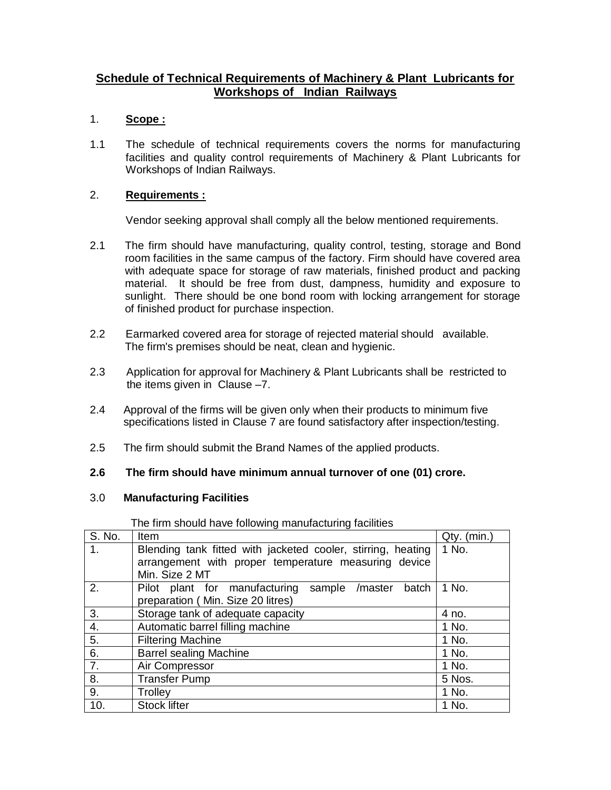## **Schedule of Technical Requirements of Machinery & Plant Lubricants for Workshops of Indian Railways**

#### 1. **Scope :**

1.1 The schedule of technical requirements covers the norms for manufacturing facilities and quality control requirements of Machinery & Plant Lubricants for Workshops of Indian Railways.

#### 2. **Requirements :**

Vendor seeking approval shall comply all the below mentioned requirements.

- 2.1 The firm should have manufacturing, quality control, testing, storage and Bond room facilities in the same campus of the factory. Firm should have covered area with adequate space for storage of raw materials, finished product and packing material. It should be free from dust, dampness, humidity and exposure to sunlight. There should be one bond room with locking arrangement for storage of finished product for purchase inspection.
- 2.2 Earmarked covered area for storage of rejected material should available. The firm's premises should be neat, clean and hygienic.
- 2.3 Application for approval for Machinery & Plant Lubricants shall be restricted to the items given in Clause –7.
- 2.4 Approval of the firms will be given only when their products to minimum five specifications listed in Clause 7 are found satisfactory after inspection/testing.
- 2.5 The firm should submit the Brand Names of the applied products.

#### **2.6 The firm should have minimum annual turnover of one (01) crore.**

#### 3.0 **Manufacturing Facilities**

| S. No.             | Item                                                         | Qty. (min.) |
|--------------------|--------------------------------------------------------------|-------------|
| 1.                 | Blending tank fitted with jacketed cooler, stirring, heating | 1 No.       |
|                    | arrangement with proper temperature measuring device         |             |
|                    | Min. Size 2 MT                                               |             |
| 2.                 | Pilot plant for manufacturing<br>sample /master<br>batch     | 1 No.       |
|                    | preparation (Min. Size 20 litres)                            |             |
| 3.                 | Storage tank of adequate capacity                            | 4 no.       |
| $\boldsymbol{4}$ . | Automatic barrel filling machine                             | 1 No.       |
| $\overline{5}$ .   | <b>Filtering Machine</b>                                     | 1 No.       |
| 6.                 | <b>Barrel sealing Machine</b>                                | 1 No.       |
| $\overline{7}$ .   | Air Compressor                                               | 1 No.       |
| 8.                 | <b>Transfer Pump</b>                                         | 5 Nos.      |
| 9.                 | Trolley                                                      | 1 No.       |
| 10.                | <b>Stock lifter</b>                                          | 1 No.       |

The firm should have following manufacturing facilities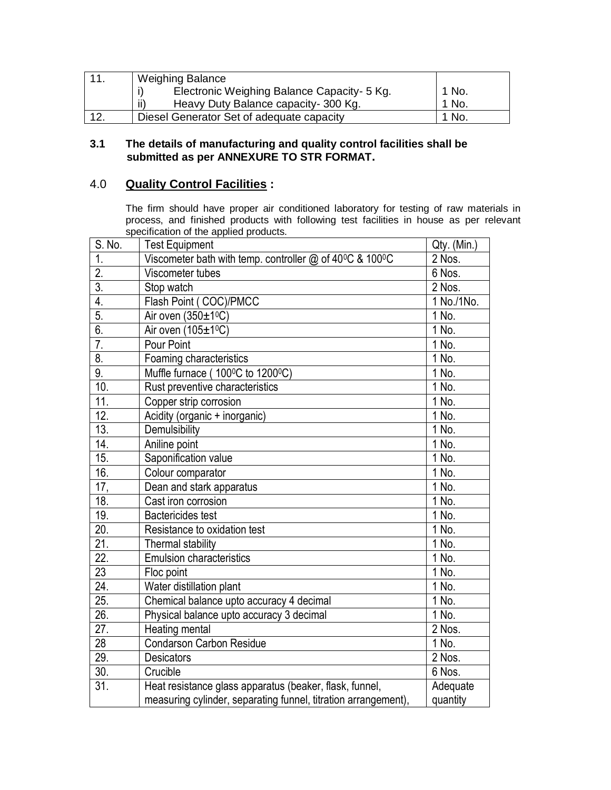|     | <b>Weighing Balance</b>                     |       |
|-----|---------------------------------------------|-------|
|     | Electronic Weighing Balance Capacity- 5 Kg. | 1 No. |
|     | ii)<br>Heavy Duty Balance capacity-300 Kg.  | No.   |
| 12. | Diesel Generator Set of adequate capacity   | No.   |

#### **3.1 The details of manufacturing and quality control facilities shall be submitted as per ANNEXURE TO STR FORMAT.**

## 4.0 **Quality Control Facilities :**

The firm should have proper air conditioned laboratory for testing of raw materials in process, and finished products with following test facilities in house as per relevant specification of the applied products.

| S. No.                    | <b>Test Equipment</b>                                                               | Qty. (Min.) |
|---------------------------|-------------------------------------------------------------------------------------|-------------|
| 1.                        | Viscometer bath with temp. controller $@$ of 40 <sup>o</sup> C & 100 <sup>o</sup> C | 2 Nos.      |
| $\overline{2}$ .          | Viscometer tubes                                                                    | 6 Nos.      |
| $\overline{3}$ .          | Stop watch                                                                          | 2 Nos.      |
| 4.                        | Flash Point (COC)/PMCC                                                              | 1 No./1 No. |
| 5.                        | Air oven (350±1ºC)                                                                  | 1 No.       |
| 6.                        | Air oven (105±1 <sup>o</sup> C)                                                     | 1 No.       |
| $\overline{7}$ .          | Pour Point                                                                          | 1 No.       |
| $\overline{\mathbf{8}}$ . | Foaming characteristics                                                             | 1 No.       |
| $\overline{9}$ .          | Muffle furnace (100°C to 1200°C)                                                    | 1 No.       |
| 10.                       | Rust preventive characteristics                                                     | 1 No.       |
| 11.                       | Copper strip corrosion                                                              | 1 No.       |
| 12.                       | Acidity (organic + inorganic)                                                       | 1 No.       |
| $\overline{13}$ .         | Demulsibility                                                                       | 1 No.       |
| 14.                       | Aniline point                                                                       | 1 No.       |
| 15.                       | Saponification value                                                                | 1 No.       |
| 16.                       | Colour comparator                                                                   | 1 No.       |
| 17,                       | Dean and stark apparatus                                                            | 1 No.       |
| 18.                       | Cast iron corrosion                                                                 | 1 No.       |
| 19.                       | <b>Bactericides test</b>                                                            | 1 No.       |
| $\overline{20}$ .         | Resistance to oxidation test                                                        | 1 No.       |
| $\overline{21}$ .         | Thermal stability                                                                   | 1 No.       |
| 22.                       | <b>Emulsion characteristics</b>                                                     | 1 No.       |
| 23                        | Floc point                                                                          | 1 No.       |
| $\overline{24}$ .         | Water distillation plant                                                            | $1$ No.     |
| $\overline{25}$ .         | Chemical balance upto accuracy 4 decimal                                            | 1 No.       |
| 26.                       | Physical balance upto accuracy 3 decimal                                            | 1 No.       |
| 27.                       | Heating mental                                                                      | 2 Nos.      |
| $\overline{28}$           | <b>Condarson Carbon Residue</b>                                                     | 1 No.       |
| 29.                       | <b>Desicators</b>                                                                   | 2 Nos.      |
| 30.                       | Crucible                                                                            | 6 Nos.      |
| $\overline{31}$ .         | Heat resistance glass apparatus (beaker, flask, funnel,                             | Adequate    |
|                           | measuring cylinder, separating funnel, titration arrangement),                      | quantity    |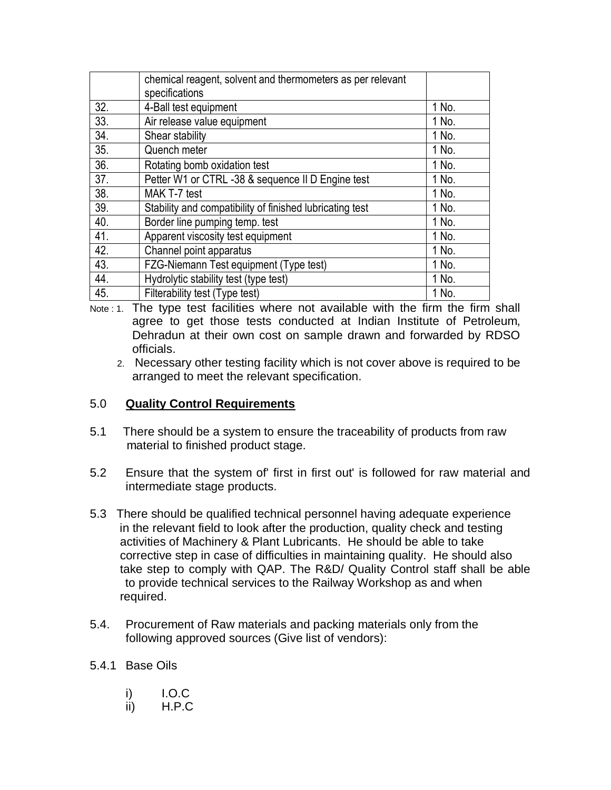|                   | chemical reagent, solvent and thermometers as per relevant<br>specifications |       |
|-------------------|------------------------------------------------------------------------------|-------|
|                   |                                                                              |       |
| 32.               | 4-Ball test equipment                                                        | 1 No. |
| 33.               | Air release value equipment                                                  | 1 No. |
| 34.               | Shear stability                                                              | 1 No. |
| 35.               | Quench meter                                                                 | 1 No. |
| 36.               | Rotating bomb oxidation test                                                 | 1 No. |
| $\overline{37}$ . | Petter W1 or CTRL -38 & sequence II D Engine test                            | 1 No. |
| 38.               | MAK T-7 test                                                                 | 1 No. |
| 39.               | Stability and compatibility of finished lubricating test                     | 1 No. |
| 40.               | Border line pumping temp. test                                               | 1 No. |
| 41.               | Apparent viscosity test equipment                                            | 1 No. |
| 42.               | Channel point apparatus                                                      | 1 No. |
| 43.               | FZG-Niemann Test equipment (Type test)                                       | 1 No. |
| 44.               | Hydrolytic stability test (type test)                                        | 1 No. |
| 45.               | Filterability test (Type test)                                               | 1 No. |

Note : 1. The type test facilities where not available with the firm the firm shall agree to get those tests conducted at Indian Institute of Petroleum, Dehradun at their own cost on sample drawn and forwarded by RDSO officials.

 2. Necessary other testing facility which is not cover above is required to be arranged to meet the relevant specification.

### 5.0 **Quality Control Requirements**

- 5.1 There should be a system to ensure the traceability of products from raw material to finished product stage.
- 5.2 Ensure that the system of' first in first out' is followed for raw material and intermediate stage products.
- 5.3 There should be qualified technical personnel having adequate experience in the relevant field to look after the production, quality check and testing activities of Machinery & Plant Lubricants. He should be able to take corrective step in case of difficulties in maintaining quality. He should also take step to comply with QAP. The R&D/ Quality Control staff shall be able to provide technical services to the Railway Workshop as and when required.
- 5.4. Procurement of Raw materials and packing materials only from the following approved sources (Give list of vendors):

### 5.4.1 Base Oils

| i) | I.O.C |
|----|-------|
|    |       |

ii) H.P.C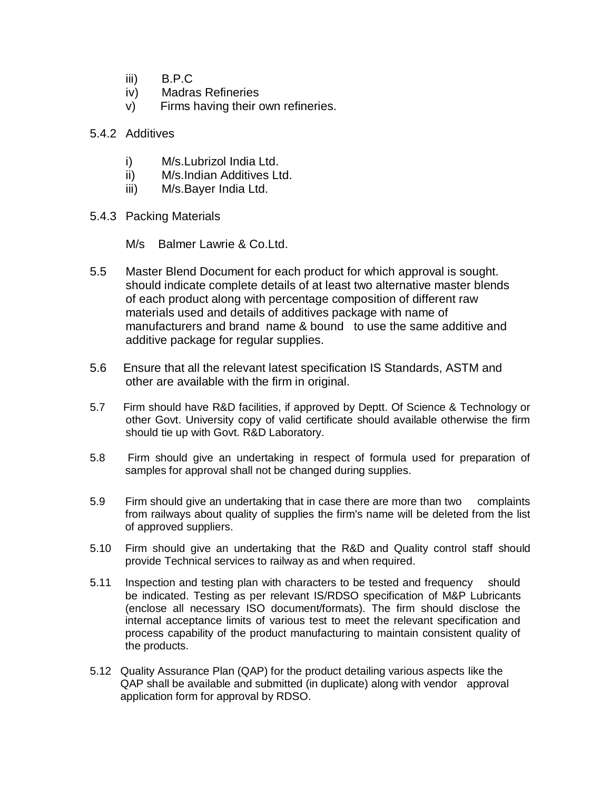- iii) B.P.C
- iv) Madras Refineries
- v) Firms having their own refineries.
- 5.4.2 Additives
	- i) M/s.Lubrizol India Ltd.
	- ii) M/s.Indian Additives Ltd.
	- iii) M/s.Bayer India Ltd.
- 5.4.3 Packing Materials

M/s Balmer Lawrie & Co.Ltd.

- 5.5 Master Blend Document for each product for which approval is sought. should indicate complete details of at least two alternative master blends of each product along with percentage composition of different raw materials used and details of additives package with name of manufacturers and brand name & bound to use the same additive and additive package for regular supplies.
- 5.6 Ensure that all the relevant latest specification IS Standards, ASTM and other are available with the firm in original.
- 5.7 Firm should have R&D facilities, if approved by Deptt. Of Science & Technology or other Govt. University copy of valid certificate should available otherwise the firm should tie up with Govt. R&D Laboratory.
- 5.8 Firm should give an undertaking in respect of formula used for preparation of samples for approval shall not be changed during supplies.
- 5.9 Firm should give an undertaking that in case there are more than two complaints from railways about quality of supplies the firm's name will be deleted from the list of approved suppliers.
- 5.10 Firm should give an undertaking that the R&D and Quality control staff should provide Technical services to railway as and when required.
- 5.11 Inspection and testing plan with characters to be tested and frequency should be indicated. Testing as per relevant IS/RDSO specification of M&P Lubricants (enclose all necessary ISO document/formats). The firm should disclose the internal acceptance limits of various test to meet the relevant specification and process capability of the product manufacturing to maintain consistent quality of the products.
- 5.12 Quality Assurance Plan (QAP) for the product detailing various aspects like the QAP shall be available and submitted (in duplicate) along with vendor approval application form for approval by RDSO.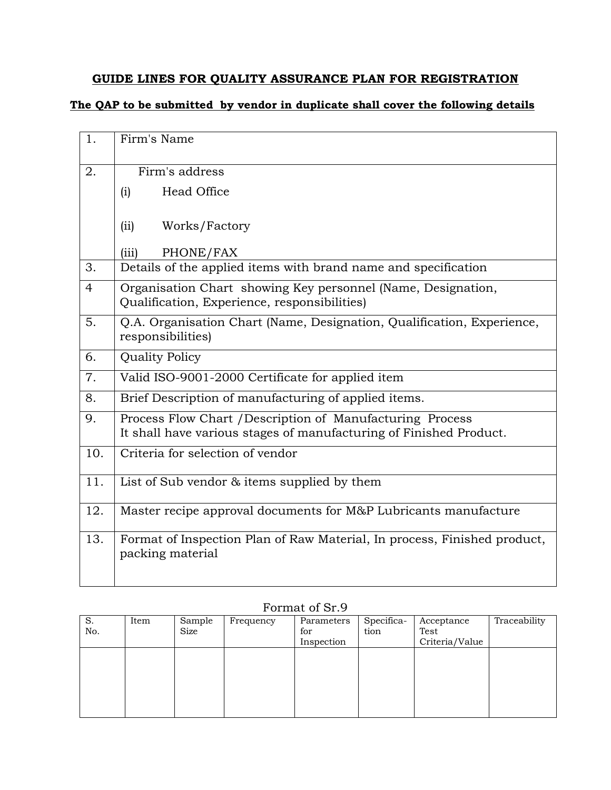# **GUIDE LINES FOR QUALITY ASSURANCE PLAN FOR REGISTRATION**

# **The QAP to be submitted by vendor in duplicate shall cover the following details**

| 1.  | Firm's Name                                                                                                                     |
|-----|---------------------------------------------------------------------------------------------------------------------------------|
| 2.  | Firm's address                                                                                                                  |
|     | Head Office<br>(i)                                                                                                              |
|     | (ii)<br>Works/Factory                                                                                                           |
|     | (iii)<br>PHONE/FAX                                                                                                              |
| 3.  | Details of the applied items with brand name and specification                                                                  |
| 4   | Organisation Chart showing Key personnel (Name, Designation,<br>Qualification, Experience, responsibilities)                    |
| 5.  | Q.A. Organisation Chart (Name, Designation, Qualification, Experience,<br>responsibilities)                                     |
| 6.  | <b>Quality Policy</b>                                                                                                           |
| 7.  | Valid ISO-9001-2000 Certificate for applied item                                                                                |
| 8.  | Brief Description of manufacturing of applied items.                                                                            |
| 9.  | Process Flow Chart / Description of Manufacturing Process<br>It shall have various stages of manufacturing of Finished Product. |
| 10. | Criteria for selection of vendor                                                                                                |
| 11. | List of Sub vendor & items supplied by them                                                                                     |
| 12. | Master recipe approval documents for M&P Lubricants manufacture                                                                 |
| 13. | Format of Inspection Plan of Raw Material, In process, Finished product,<br>packing material                                    |

| S.  | Item | Sample | Frequency | Parameters | Specifica- | Acceptance     | Traceability |
|-----|------|--------|-----------|------------|------------|----------------|--------------|
| No. |      | Size   |           | for        | tion       | Test           |              |
|     |      |        |           | Inspection |            | Criteria/Value |              |
|     |      |        |           |            |            |                |              |
|     |      |        |           |            |            |                |              |
|     |      |        |           |            |            |                |              |
|     |      |        |           |            |            |                |              |
|     |      |        |           |            |            |                |              |
|     |      |        |           |            |            |                |              |
|     |      |        |           |            |            |                |              |

### Format of Sr.9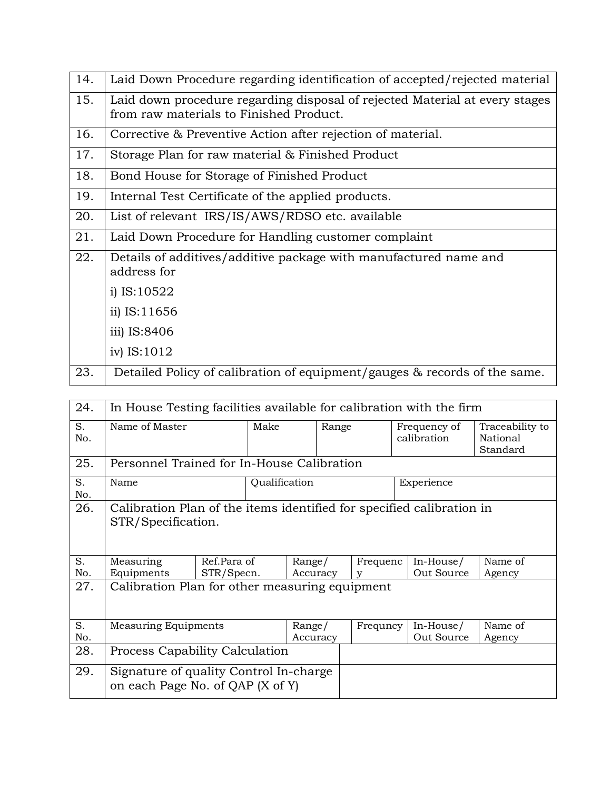| 14. | Laid Down Procedure regarding identification of accepted/rejected material  |
|-----|-----------------------------------------------------------------------------|
| 15. | Laid down procedure regarding disposal of rejected Material at every stages |
|     | from raw materials to Finished Product.                                     |
| 16. | Corrective & Preventive Action after rejection of material.                 |
| 17. | Storage Plan for raw material & Finished Product                            |
| 18. | Bond House for Storage of Finished Product                                  |
| 19. | Internal Test Certificate of the applied products.                          |
| 20. | List of relevant IRS/IS/AWS/RDSO etc. available                             |
| 21. | Laid Down Procedure for Handling customer complaint                         |
| 22. | Details of additives/additive package with manufactured name and            |
|     | address for                                                                 |
|     | i) $IS:10522$                                                               |
|     | ii) IS:11656                                                                |
|     | iii) IS:8406                                                                |
|     | iv) IS:1012                                                                 |
| 23. | Detailed Policy of calibration of equipment/gauges & records of the same.   |

| 24.       | In House Testing facilities available for calibration with the firm                         |                           |               |                    |            |               |  |                             |                                         |
|-----------|---------------------------------------------------------------------------------------------|---------------------------|---------------|--------------------|------------|---------------|--|-----------------------------|-----------------------------------------|
| S.<br>No. | Name of Master                                                                              |                           | Make          |                    | Range      |               |  | Frequency of<br>calibration | Traceability to<br>National<br>Standard |
| 25.       | Personnel Trained for In-House Calibration                                                  |                           |               |                    |            |               |  |                             |                                         |
| S.<br>No. | Name                                                                                        |                           | Qualification |                    | Experience |               |  |                             |                                         |
| 26.       | Calibration Plan of the items identified for specified calibration in<br>STR/Specification. |                           |               |                    |            |               |  |                             |                                         |
| S.<br>No. | Measuring<br>Equipments                                                                     | Ref.Para of<br>STR/Specn. |               | Range/<br>Accuracy |            | Frequenc<br>V |  | In-House/<br>Out Source     | Name of<br>Agency                       |
| 27.       | Calibration Plan for other measuring equipment                                              |                           |               |                    |            |               |  |                             |                                         |
| S.<br>No. | <b>Measuring Equipments</b>                                                                 |                           |               | Range/<br>Accuracy |            | Frequncy      |  | In-House/<br>Out Source     | Name of<br>Agency                       |
| 28.       | <b>Process Capability Calculation</b>                                                       |                           |               |                    |            |               |  |                             |                                         |
| 29.       | Signature of quality Control In-charge<br>on each Page No. of QAP (X of Y)                  |                           |               |                    |            |               |  |                             |                                         |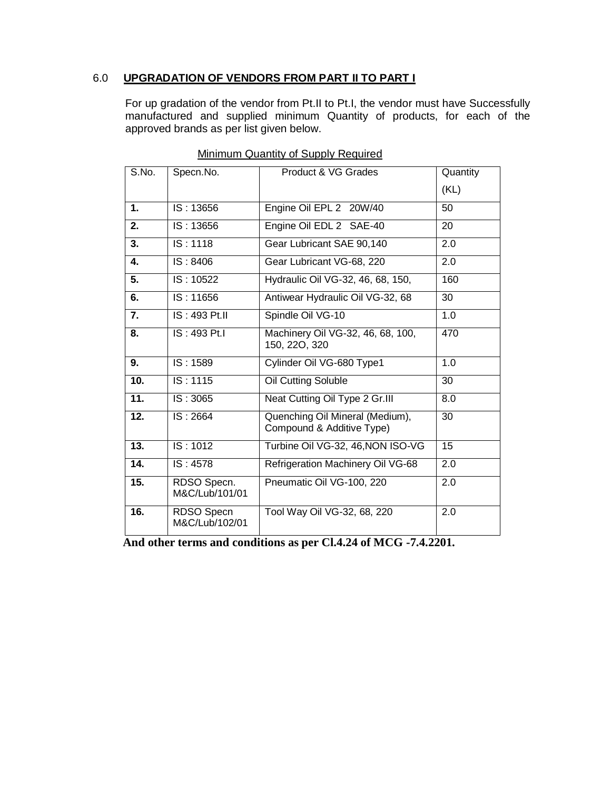### 6.0 **UPGRADATION OF VENDORS FROM PART II TO PART I**

For up gradation of the vendor from Pt.II to Pt.I, the vendor must have Successfully manufactured and supplied minimum Quantity of products, for each of the approved brands as per list given below.

| S.No.             | Specn.No.                     | Product & VG Grades                                          | Quantity |
|-------------------|-------------------------------|--------------------------------------------------------------|----------|
|                   |                               |                                                              | (KL)     |
| 1.                | IS: 13656                     | Engine Oil EPL 2 20W/40                                      | 50       |
| 2.                | IS: 13656                     | Engine Oil EDL 2 SAE-40                                      | 20       |
| 3.                | IS:1118                       | Gear Lubricant SAE 90,140                                    | 2.0      |
| $\mathbf{4}$      | $\overline{1S}$ : 8406        | Gear Lubricant VG-68, 220                                    | 2.0      |
| 5.                | IS: 10522                     | Hydraulic Oil VG-32, 46, 68, 150,                            | 160      |
| 6.                | IS: 11656                     | Antiwear Hydraulic Oil VG-32, 68                             | 30       |
| 7.                | IS: 493 Pt.II                 | Spindle Oil VG-10                                            | 1.0      |
| 8.                | IS: 493 Pt.I                  | Machinery Oil VG-32, 46, 68, 100,<br>150, 220, 320           | 470      |
| 9.                | IS: 1589                      | Cylinder Oil VG-680 Type1                                    | 1.0      |
| $\overline{10}$ . | IS:1115                       | Oil Cutting Soluble                                          | 30       |
| 11.               | IS:3065                       | Neat Cutting Oil Type 2 Gr.III                               | 8.0      |
| 12.               | IS: 2664                      | Quenching Oil Mineral (Medium),<br>Compound & Additive Type) | 30       |
| 13.               | IS: 1012                      | Turbine Oil VG-32, 46, NON ISO-VG                            | 15       |
| 14.               | IS: 4578                      | Refrigeration Machinery Oil VG-68                            | 2.0      |
| $\overline{15}$ . | RDSO Specn.<br>M&C/Lub/101/01 | Pneumatic Oil VG-100, 220                                    | 2.0      |
| 16.               | RDSO Specn<br>M&C/Lub/102/01  | Tool Way Oil VG-32, 68, 220                                  | 2.0      |

| Minimum Quantity of Supply Required |  |  |
|-------------------------------------|--|--|
|                                     |  |  |

**And other terms and conditions as per Cl.4.24 of MCG -7.4.2201.**